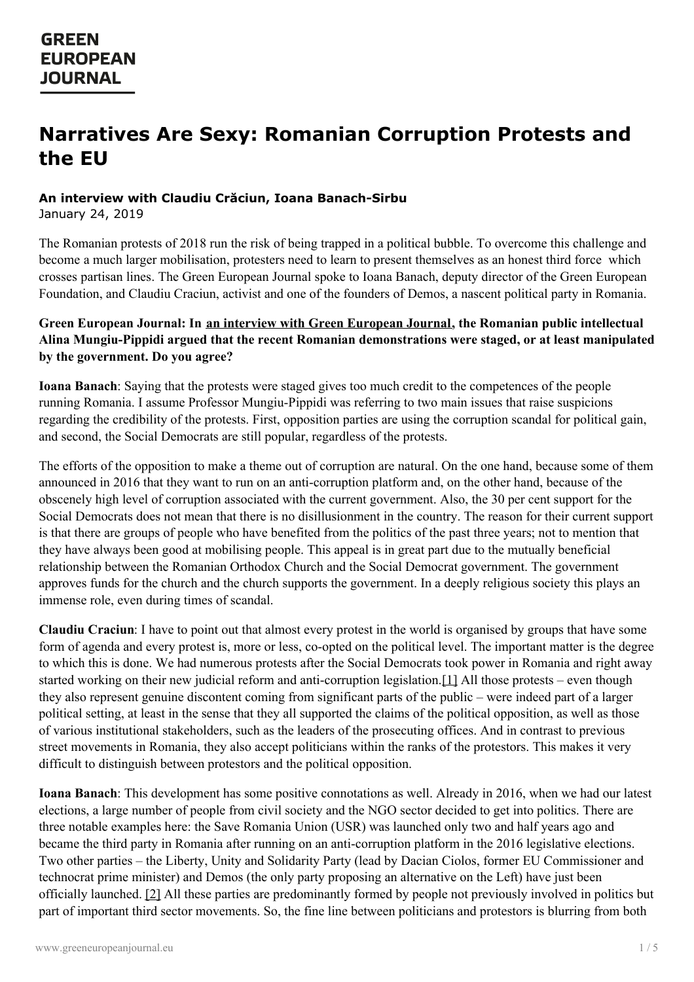# **Narratives Are Sexy: Romanian Corruption Protests and the EU**

### **An interview with Claudiu Crăciun, Ioana Banach-Sirbu**

January 24, 2019

The Romanian protests of 2018 run the risk of being trapped in a political bubble. To overcome this challenge and become a much larger mobilisation, protesters need to learn to present themselves as an honest third force which crosses partisan lines. The Green European Journal spoke to Ioana Banach, deputy director of the Green European Foundation, and Claudiu Craciun, activist and one of the founders of Demos, a nascent political party in Romania.

### **Green European Journal: In an interview with Green [European](https://www.greeneuropeanjournal.eu/a-whole-government-behind-bars-romanias-fight-against-corruption/) Journal, the Romanian public intellectual Alina Mungiu-Pippidi argued that the recent Romanian demonstrations were staged, or at least manipulated by the government. Do you agree?**

**Ioana Banach**: Saying that the protests were staged gives too much credit to the competences of the people running Romania. I assume Professor Mungiu-Pippidi was referring to two main issues that raise suspicions regarding the credibility of the protests. First, opposition parties are using the corruption scandal for political gain, and second, the Social Democrats are still popular, regardless of the protests.

The efforts of the opposition to make a theme out of corruption are natural. On the one hand, because some of them announced in 2016 that they want to run on an anti-corruption platform and, on the other hand, because of the obscenely high level of corruption associated with the current government. Also, the 30 per cent support for the Social Democrats does not mean that there is no disillusionment in the country. The reason for their current support is that there are groups of people who have benefited from the politics of the past three years; not to mention that they have always been good at mobilising people. This appeal is in great part due to the mutually beneficial relationship between the Romanian Orthodox Church and the Social Democrat government. The government approves funds for the church and the church supports the government. In a deeply religious society this plays an immense role, even during times of scandal.

<span id="page-0-0"></span>**Claudiu Craciun**: I have to point out that almost every protest in the world is organised by groups that have some form of agenda and every protest is, more or less, co-opted on the political level. The important matter is the degree to which this is done. We had numerous protests after the Social Democrats took power in Romania and right away started working on their new judicial reform and anti-corruption legislation.[\[1\]](#page-4-0) All those protests – even though they also represent genuine discontent coming from significant parts of the public – were indeed part of a larger political setting, at least in the sense that they all supported the claims of the political opposition, as well as those of various institutional stakeholders, such as the leaders of the prosecuting offices. And in contrast to previous street movements in Romania, they also accept politicians within the ranks of the protestors. This makes it very difficult to distinguish between protestors and the political opposition.

<span id="page-0-1"></span>**Ioana Banach**: This development has some positive connotations as well. Already in 2016, when we had our latest elections, a large number of people from civil society and the NGO sector decided to get into politics. There are three notable [examples](https://www.greeneuropeanjournal.eu) here: the Save Romania Union (USR) was launched only two and half years ago and became the third party in Romania after running on an anti-corruption platform in the 2016 legislative elections. Two other parties – the Liberty, Unity and Solidarity Party (lead by Dacian Ciolos, former EU Commissioner and technocrat prime minister) and Demos (the only party proposing an alternative on the Left) have just been officially launched. [\[2\]](#page-4-1) All these parties are predominantly formed by people not previously involved in politics but part of important third sector movements. So, the fine line between politicians and protestors is blurring from both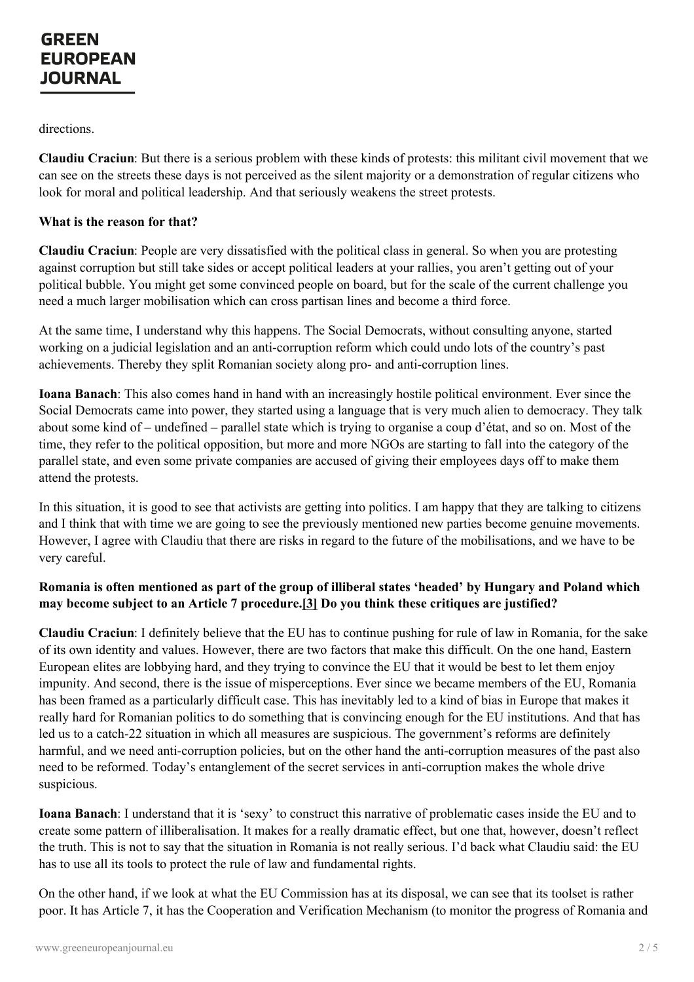directions.

**Claudiu Craciun**: But there is a serious problem with these kinds of protests: this militant civil movement that we can see on the streets these days is not perceived as the silent majority or a demonstration of regular citizens who look for moral and political leadership. And that seriously weakens the street protests.

#### **What is the reason for that?**

**Claudiu Craciun**: People are very dissatisfied with the political class in general. So when you are protesting against corruption but still take sides or accept political leaders at your rallies, you aren't getting out of your political bubble. You might get some convinced people on board, but for the scale of the current challenge you need a much larger mobilisation which can cross partisan lines and become a third force.

At the same time, I understand why this happens. The Social Democrats, without consulting anyone, started working on a judicial legislation and an anti-corruption reform which could undo lots of the country's past achievements. Thereby they split Romanian society along pro- and anti-corruption lines.

**Ioana Banach**: This also comes hand in hand with an increasingly hostile political environment. Ever since the Social Democrats came into power, they started using a language that is very much alien to democracy. They talk about some kind of – undefined – parallel state which is trying to organise a coup d'état, and so on. Most of the time, they refer to the political opposition, but more and more NGOs are starting to fall into the category of the parallel state, and even some private companies are accused of giving their employees days off to make them attend the protests.

In this situation, it is good to see that activists are getting into politics. I am happy that they are talking to citizens and I think that with time we are going to see the previously mentioned new parties become genuine movements. However, I agree with Claudiu that there are risks in regard to the future of the mobilisations, and we have to be very careful.

### <span id="page-1-0"></span>Romania is often mentioned as part of the group of illiberal states 'headed' by Hungary and Poland which **may become subject to an Article 7 procedure[.\[3\]](#page-4-2) Do you think these critiques are justified?**

**Claudiu Craciun**: I definitely believe that the EU has to continue pushing for rule of law in Romania, for the sake of its own identity and values. However, there are two factors that make this difficult. On the one hand, Eastern European elites are lobbying hard, and they trying to convince the EU that it would be best to let them enjoy impunity. And second, there is the issue of misperceptions. Ever since we became members of the EU, Romania has been framed as a particularly difficult case. This has inevitably led to a kind of bias in Europe that makes it really hard for Romanian politics to do something that is convincing enough for the EU institutions. And that has led us to a catch-22 situation in which all measures are suspicious. The government's reforms are definitely harmful, and we need anti-corruption policies, but on the other hand the anti-corruption measures of the past also need to be reformed. Today's entanglement of the secret services in anti-corruption makes the whole drive suspicious.

**Ioana Banach**: I understand that it is 'sexy' to construct this narrative of problematic cases inside the EU and to create some [pattern](https://www.greeneuropeanjournal.eu) of illiberalisation. It makes for a really dramatic effect, but one that, however, doesn't reflect the truth. This is not to say that the situation in Romania is not really serious. I'd back what Claudiu said: the EU has to use all its tools to protect the rule of law and fundamental rights.

On the other hand, if we look at what the EU Commission has at its disposal, we can see that its toolset is rather poor. It has Article 7, it has the Cooperation and Verification Mechanism (to monitor the progress of Romania and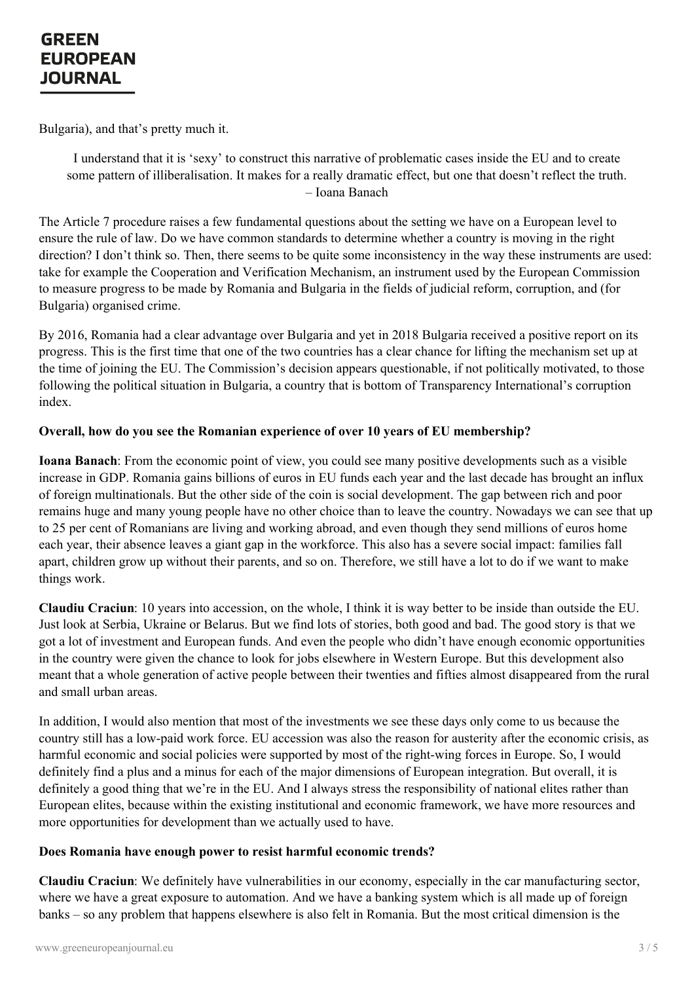Bulgaria), and that's pretty much it.

I understand that it is 'sexy' to construct this narrative of problematic cases inside the EU and to create some pattern of illiberalisation. It makes for a really dramatic effect, but one that doesn't reflect the truth. – Ioana Banach

The Article 7 procedure raises a few fundamental questions about the setting we have on a European level to ensure the rule of law. Do we have common standards to determine whether a country is moving in the right direction? I don't think so. Then, there seems to be quite some inconsistency in the way these instruments are used: take for example the Cooperation and Verification Mechanism, an instrument used by the European Commission to measure progress to be made by Romania and Bulgaria in the fields of judicial reform, corruption, and (for Bulgaria) organised crime.

By 2016, Romania had a clear advantage over Bulgaria and yet in 2018 Bulgaria received a positive report on its progress. This is the first time that one of the two countries has a clear chance for lifting the mechanism set up at the time of joining the EU. The Commission's decision appears questionable, if not politically motivated, to those following the political situation in Bulgaria, a country that is bottom of Transparency International's corruption index.

#### **Overall, how do you see the Romanian experience of over 10 years of EU membership?**

**Ioana Banach**: From the economic point of view, you could see many positive developments such as a visible increase in GDP. Romania gains billions of euros in EU funds each year and the last decade has brought an influx of foreign multinationals. But the other side of the coin is social development. The gap between rich and poor remains huge and many young people have no other choice than to leave the country. Nowadays we can see that up to 25 per cent of Romanians are living and working abroad, and even though they send millions of euros home each year, their absence leaves a giant gap in the workforce. This also has a severe social impact: families fall apart, children grow up without their parents, and so on. Therefore, we still have a lot to do if we want to make things work.

**Claudiu Craciun**: 10 years into accession, on the whole, I think it is way better to be inside than outside the EU. Just look at Serbia, Ukraine or Belarus. But we find lots of stories, both good and bad. The good story is that we got a lot of investment and European funds. And even the people who didn't have enough economic opportunities in the country were given the chance to look for jobs elsewhere in Western Europe. But this development also meant that a whole generation of active people between their twenties and fifties almost disappeared from the rural and small urban areas.

In addition, I would also mention that most of the investments we see these days only come to us because the country still has a low-paid work force. EU accession was also the reason for austerity after the economic crisis, as harmful economic and social policies were supported by most of the right-wing forces in Europe. So, I would definitely find a plus and a minus for each of the major dimensions of European integration. But overall, it is definitely a good thing that we're in the EU. And I always stress the responsibility of national elites rather than European elites, because within the existing institutional and economic framework, we have more resources and more [opportunities](https://www.greeneuropeanjournal.eu) for development than we actually used to have.

#### **Does Romania have enough power to resist harmful economic trends?**

**Claudiu Craciun**: We definitely have vulnerabilities in our economy, especially in the car manufacturing sector, where we have a great exposure to automation. And we have a banking system which is all made up of foreign banks – so any problem that happens elsewhere is also felt in Romania. But the most critical dimension is the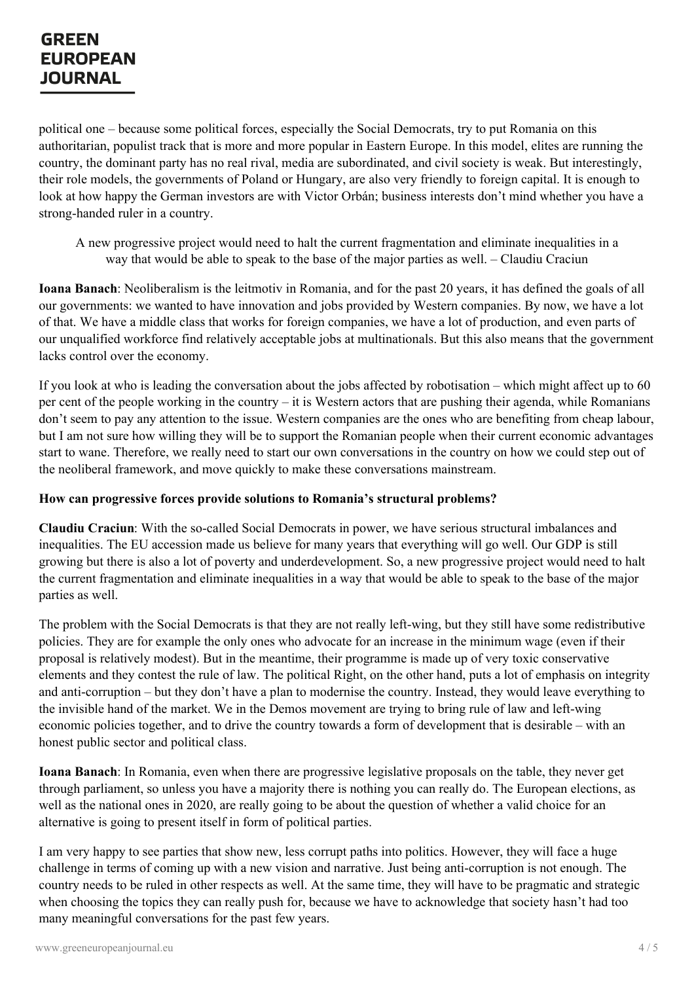political one – because some political forces, especially the Social Democrats, try to put Romania on this authoritarian, populist track that is more and more popular in Eastern Europe. In this model, elites are running the country, the dominant party has no real rival, media are subordinated, and civil society is weak. But interestingly, their role models, the governments of Poland or Hungary, are also very friendly to foreign capital. It is enough to look at how happy the German investors are with Victor Orbán; business interests don't mind whether you have a strong-handed ruler in a country.

A new progressive project would need to halt the current fragmentation and eliminate inequalities in a way that would be able to speak to the base of the major parties as well. – Claudiu Craciun

**Ioana Banach**: Neoliberalism is the leitmotiv in Romania, and for the past 20 years, it has defined the goals of all our governments: we wanted to have innovation and jobs provided by Western companies. By now, we have a lot of that. We have a middle class that works for foreign companies, we have a lot of production, and even parts of our unqualified workforce find relatively acceptable jobs at multinationals. But this also means that the government lacks control over the economy.

If you look at who is leading the conversation about the jobs affected by robotisation – which might affect up to 60 per cent of the people working in the country – it is Western actors that are pushing their agenda, while Romanians don't seem to pay any attention to the issue. Western companies are the ones who are benefiting from cheap labour, but I am not sure how willing they will be to support the Romanian people when their current economic advantages start to wane. Therefore, we really need to start our own conversations in the country on how we could step out of the neoliberal framework, and move quickly to make these conversations mainstream.

#### **How can progressive forces provide solutions to Romania's structural problems?**

**Claudiu Craciun**: With the so-called Social Democrats in power, we have serious structural imbalances and inequalities. The EU accession made us believe for many years that everything will go well. Our GDP is still growing but there is also a lot of poverty and underdevelopment. So, a new progressive project would need to halt the current fragmentation and eliminate inequalities in a way that would be able to speak to the base of the major parties as well.

The problem with the Social Democrats is that they are not really left-wing, but they still have some redistributive policies. They are for example the only ones who advocate for an increase in the minimum wage (even if their proposal is relatively modest). But in the meantime, their programme is made up of very toxic conservative elements and they contest the rule of law. The political Right, on the other hand, puts a lot of emphasis on integrity and anti-corruption – but they don't have a plan to modernise the country. Instead, they would leave everything to the invisible hand of the market. We in the Demos movement are trying to bring rule of law and left-wing economic policies together, and to drive the country towards a form of development that is desirable – with an honest public sector and political class.

**Ioana Banach**: In Romania, even when there are progressive legislative proposals on the table, they never get through parliament, so unless you have a majority there is nothing you can really do. The European elections, as well as the national ones in 2020, are really going to be about the question of whether a valid choice for an [alternative](https://www.greeneuropeanjournal.eu) is going to present itself in form of political parties.

I am very happy to see parties that show new, less corrupt paths into politics. However, they will face a huge challenge in terms of coming up with a new vision and narrative. Just being anti-corruption is not enough. The country needs to be ruled in other respects as well. At the same time, they will have to be pragmatic and strategic when choosing the topics they can really push for, because we have to acknowledge that society hasn't had too many meaningful conversations for the past few years.